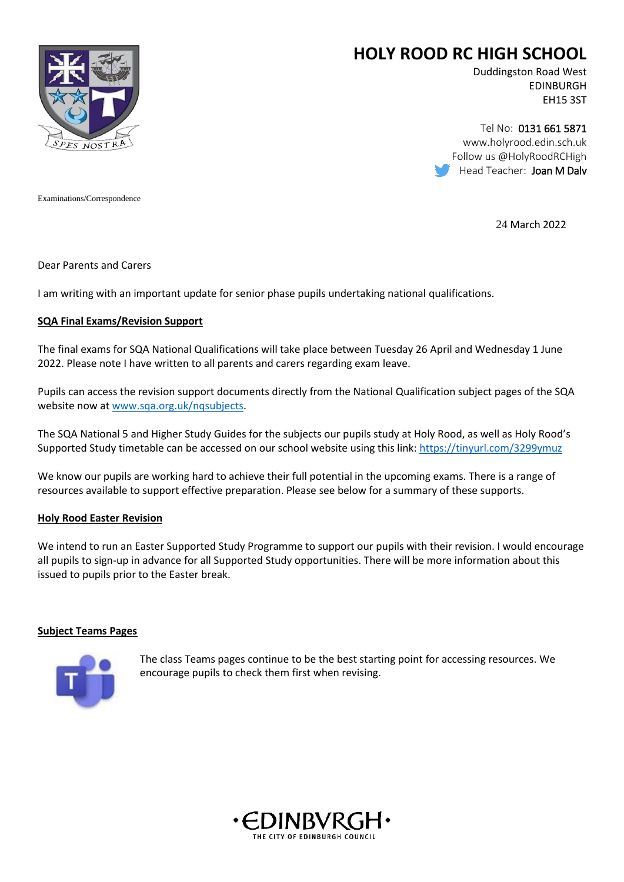

# **HOLY ROOD RC HIGH SCHOOL**

Duddingston Road West EDINBURGH EH15 3ST

Tel No: 0131 661 5871 www.holyrood.edin.sch.uk Follow us @HolyRoodRCHigh Head Teacher: Joan M Daly

Examinations/Correspondence

24 March 2022

Dear Parents and Carers

I am writing with an important update for senior phase pupils undertaking national qualifications.

#### **SQA Final Exams/Revision Support**

The final exams for SQA National Qualifications will take place between Tuesday 26 April and Wednesday 1 June 2022. Please note I have written to all parents and carers regarding exam leave.

Pupils can access the revision support documents directly from the National Qualification subject pages of the SQA website now at [www.sqa.org.uk/nqsubjects.](http://www.sqa.org.uk/nqsubjects)

The SQA National 5 and Higher Study Guides for the subjects our pupils study at Holy Rood, as well as Holy Rood's Supported Study timetable can be accessed on our school website using this link:<https://tinyurl.com/3299ymuz>

We know our pupils are working hard to achieve their full potential in the upcoming exams. There is a range of resources available to support effective preparation. Please see below for a summary of these supports.

#### **Holy Rood Easter Revision**

We intend to run an Easter Supported Study Programme to support our pupils with their revision. I would encourage all pupils to sign-up in advance for all Supported Study opportunities. There will be more information about this issued to pupils prior to the Easter break.

## **Subject Teams Pages**



The class Teams pages continue to be the best starting point for accessing resources. We encourage pupils to check them first when revising.